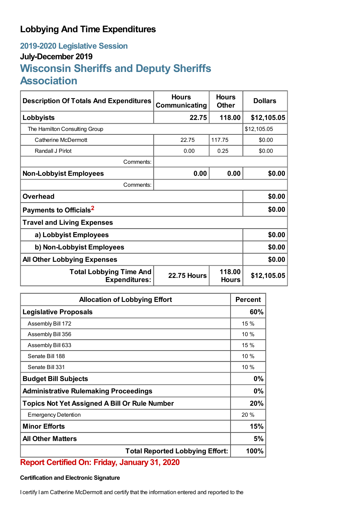## **Lobbying And Time Expenditures**

## **2019-2020 Legislative Session July-December 2019 Wisconsin Sheriffs and Deputy Sheriffs Association**

| <b>Description Of Totals And Expenditures</b>          | <b>Hours</b><br>Communicating | <b>Hours</b><br><b>Other</b> | <b>Dollars</b> |  |
|--------------------------------------------------------|-------------------------------|------------------------------|----------------|--|
| Lobbyists                                              | 22.75                         | 118.00                       | \$12,105.05    |  |
| The Hamilton Consulting Group                          |                               |                              | \$12,105.05    |  |
| Catherine McDermott                                    | 22.75                         | 117.75                       | \$0.00         |  |
| Randall J Pirlot                                       | 0.00                          | 0.25                         | \$0.00         |  |
| Comments:                                              |                               |                              |                |  |
| <b>Non-Lobbyist Employees</b>                          | 0.00                          | 0.00                         | \$0.00         |  |
| Comments:                                              |                               |                              |                |  |
| <b>Overhead</b>                                        |                               |                              | \$0.00         |  |
| Payments to Officials <sup>2</sup>                     | \$0.00                        |                              |                |  |
| <b>Travel and Living Expenses</b>                      |                               |                              |                |  |
| a) Lobbyist Employees                                  |                               |                              | \$0.00         |  |
| b) Non-Lobbyist Employees                              |                               |                              | \$0.00         |  |
| <b>All Other Lobbying Expenses</b>                     |                               |                              | \$0.00         |  |
| <b>Total Lobbying Time And</b><br><b>Expenditures:</b> | <b>22.75 Hours</b>            | 118.00<br><b>Hours</b>       | \$12,105.05    |  |

| <b>Allocation of Lobbying Effort</b>                 |      |
|------------------------------------------------------|------|
| <b>Legislative Proposals</b>                         | 60%  |
| Assembly Bill 172                                    | 15 % |
| Assembly Bill 356                                    | 10%  |
| Assembly Bill 633                                    | 15 % |
| Senate Bill 188                                      | 10%  |
| Senate Bill 331                                      | 10%  |
| <b>Budget Bill Subjects</b>                          | 0%   |
| <b>Administrative Rulemaking Proceedings</b>         |      |
| <b>Topics Not Yet Assigned A Bill Or Rule Number</b> |      |
| <b>Emergency Detention</b>                           | 20 % |
| <b>Minor Efforts</b>                                 | 15%  |
| <b>All Other Matters</b>                             | 5%   |
| <b>Total Reported Lobbying Effort:</b>               |      |

## **Report Certified On: Friday, January 31, 2020**

## **Certification and Electronic Signature**

I certify I am Catherine McDermott and certify that the information entered and reported to the